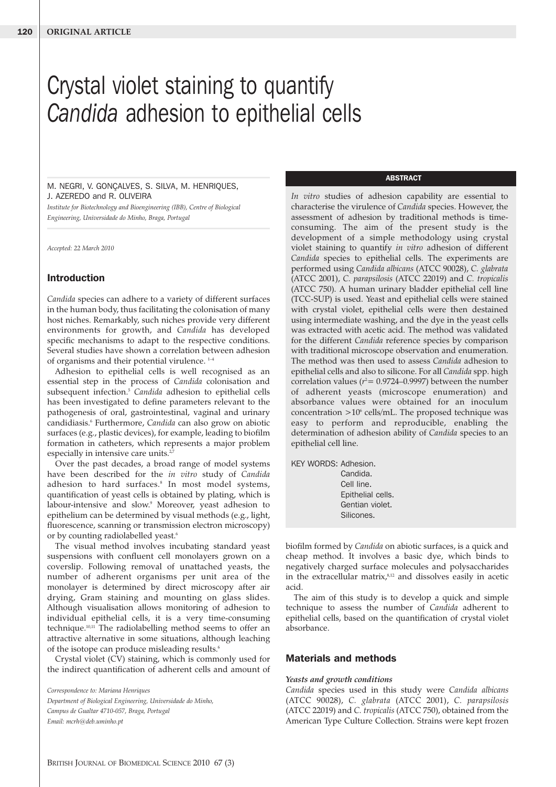# Crystal violet staining to quantify *Candida* adhesion to epithelial cells

## M. NEGRI, V. GONÇALVES, S. SILVA, M. HENRIQUES, J. AZEREDO and R. OLIVEIRA

*Institute for Biotechnology and Bioengineering (IBB), Centre of Biological Engineering, Universidade do Minho, Braga, Portugal*

*Accepted: 22 March 2010*

## **Introduction**

*Candida* species can adhere to a variety of different surfaces in the human body, thus facilitating the colonisation of many host niches. Remarkably, such niches provide very different environments for growth, and *Candida* has developed specific mechanisms to adapt to the respective conditions. Several studies have shown a correlation between adhesion of organisms and their potential virulence.<sup>1-4</sup>

Adhesion to epithelial cells is well recognised as an essential step in the process of *Candida* colonisation and subsequent infection.5 *Candida* adhesion to epithelial cells has been investigated to define parameters relevant to the pathogenesis of oral, gastrointestinal, vaginal and urinary candidiasis.6 Furthermore, *Candida* can also grow on abiotic surfaces (e.g., plastic devices), for example, leading to biofilm formation in catheters, which represents a major problem especially in intensive care units.<sup>2,7</sup>

Over the past decades, a broad range of model systems have been described for the *in vitro* study of *Candida* adhesion to hard surfaces.<sup>8</sup> In most model systems, quantification of yeast cells is obtained by plating, which is labour-intensive and slow.<sup>9</sup> Moreover, yeast adhesion to epithelium can be determined by visual methods (e.g., light, fluorescence, scanning or transmission electron microscopy) or by counting radiolabelled yeast.<sup>6</sup>

The visual method involves incubating standard yeast suspensions with confluent cell monolayers grown on a coverslip. Following removal of unattached yeasts, the number of adherent organisms per unit area of the monolayer is determined by direct microscopy after air drying, Gram staining and mounting on glass slides. Although visualisation allows monitoring of adhesion to individual epithelial cells, it is a very time-consuming technique.10,11 The radiolabelling method seems to offer an attractive alternative in some situations, although leaching of the isotope can produce misleading results.<sup>6</sup>

Crystal violet (CV) staining, which is commonly used for the indirect quantification of adherent cells and amount of

*Correspondence to: Mariana Henriques Department of Biological Engineering, Universidade do Minho, Campus de Gualtar 4710-057, Braga, Portugal Email: mcrh@deb.uminho.pt*

## **ABSTRACT**

*In vitro* studies of adhesion capability are essential to characterise the virulence of *Candida* species. However, the assessment of adhesion by traditional methods is timeconsuming. The aim of the present study is the development of a simple methodology using crystal violet staining to quantify *in vitro* adhesion of different *Candida* species to epithelial cells. The experiments are performed using *Candida albicans* (ATCC 90028), *C. glabrata* (ATCC 2001), *C. parapsilosis* (ATCC 22019) and *C. tropicalis* (ATCC 750). A human urinary bladder epithelial cell line (TCC-SUP) is used. Yeast and epithelial cells were stained with crystal violet, epithelial cells were then destained using intermediate washing, and the dye in the yeast cells was extracted with acetic acid. The method was validated for the different *Candida* reference species by comparison with traditional microscope observation and enumeration. The method was then used to assess *Candida* adhesion to epithelial cells and also to silicone. For all *Candida* spp. high correlation values ( $r^2$  = 0.9724–0.9997) between the number of adherent yeasts (microscope enumeration) and absorbance values were obtained for an inoculum concentration  $>10^6$  cells/mL. The proposed technique was easy to perform and reproducible, enabling the determination of adhesion ability of *Candida* species to an epithelial cell line.

| KEY WORDS: Adhesion. |                   |
|----------------------|-------------------|
|                      | Candida.          |
|                      | Cell line.        |
|                      | Epithelial cells. |
|                      | Gentian violet.   |
|                      | Silicones.        |
|                      |                   |

biofilm formed by *Candida* on abiotic surfaces, is a quick and cheap method. It involves a basic dye, which binds to negatively charged surface molecules and polysaccharides in the extracellular matrix,<sup>8,12</sup> and dissolves easily in acetic acid.

The aim of this study is to develop a quick and simple technique to assess the number of *Candida* adherent to epithelial cells, based on the quantification of crystal violet absorbance.

## **Materials and methods**

### *Yeasts and growth conditions*

*Candida* species used in this study were *Candida albicans* (ATCC 90028), *C. glabrata* (ATCC 2001), *C. parapsilosis* (ATCC 22019) and *C. tropicalis* (ATCC 750), obtained from the American Type Culture Collection. Strains were kept frozen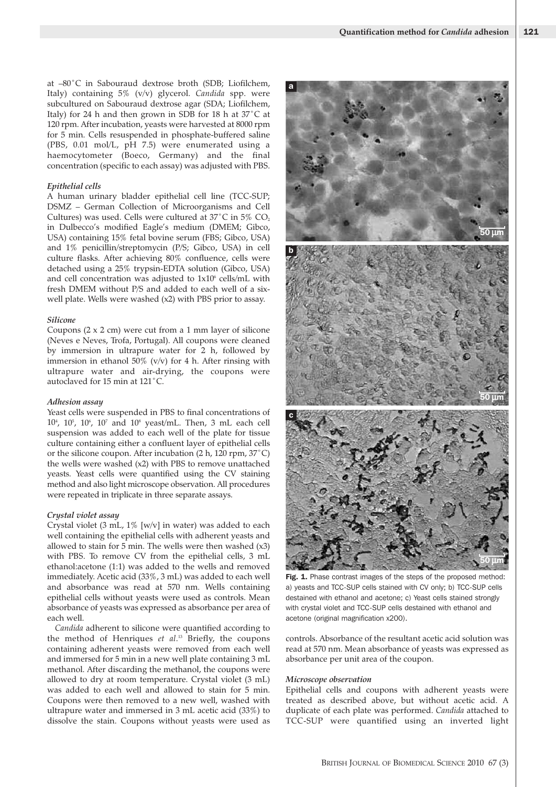at –80˚C in Sabouraud dextrose broth (SDB; Liofilchem, Italy) containing 5% (v/v) glycerol. *Candida* spp. were subcultured on Sabouraud dextrose agar (SDA; Liofilchem, Italy) for 24 h and then grown in SDB for 18 h at 37˚C at 120 rpm. After incubation, yeasts were harvested at 8000 rpm for 5 min. Cells resuspended in phosphate-buffered saline (PBS, 0.01 mol/L, pH 7.5) were enumerated using a haemocytometer (Boeco, Germany) and the final concentration (specific to each assay) was adjusted with PBS.

#### *Epithelial cells*

A human urinary bladder epithelial cell line (TCC-SUP; DSMZ – German Collection of Microorganisms and Cell Cultures) was used. Cells were cultured at  $37^{\circ}$ C in  $5\%$  CO<sub>2</sub> in Dulbecco's modified Eagle's medium (DMEM; Gibco, USA) containing 15% fetal bovine serum (FBS; Gibco, USA) and 1% penicillin/streptomycin (P/S; Gibco, USA) in cell culture flasks. After achieving 80% confluence, cells were detached using a 25% trypsin-EDTA solution (Gibco, USA) and cell concentration was adjusted to  $1x10<sup>6</sup>$  cells/mL with fresh DMEM without P/S and added to each well of a sixwell plate. Wells were washed (x2) with PBS prior to assay.

#### *Silicone*

Coupons  $(2 \times 2 \text{ cm})$  were cut from a 1 mm layer of silicone (Neves e Neves, Trofa, Portugal). All coupons were cleaned by immersion in ultrapure water for 2 h, followed by immersion in ethanol 50% (v/v) for 4 h. After rinsing with ultrapure water and air-drying, the coupons were autoclaved for 15 min at 121˚C.

### *Adhesion assay*

Yeast cells were suspended in PBS to final concentrations of  $10^{\circ}$ ,  $10^{\circ}$ ,  $10^{\circ}$ ,  $10^{\circ}$  and  $10^{\circ}$  yeast/mL. Then, 3 mL each cell suspension was added to each well of the plate for tissue culture containing either a confluent layer of epithelial cells or the silicone coupon. After incubation (2 h, 120 rpm, 37˚C) the wells were washed (x2) with PBS to remove unattached yeasts. Yeast cells were quantified using the CV staining method and also light microscope observation. All procedures were repeated in triplicate in three separate assays.

### *Crystal violet assay*

Crystal violet (3 mL, 1% [w/v] in water) was added to each well containing the epithelial cells with adherent yeasts and allowed to stain for 5 min. The wells were then washed (x3) with PBS. To remove CV from the epithelial cells, 3 mL ethanol:acetone (1:1) was added to the wells and removed immediately. Acetic acid (33%, 3 mL) was added to each well and absorbance was read at 570 nm. Wells containing epithelial cells without yeasts were used as controls. Mean absorbance of yeasts was expressed as absorbance per area of each well.

*Candida* adherent to silicone were quantified according to the method of Henriques *et al*. <sup>13</sup> Briefly, the coupons containing adherent yeasts were removed from each well and immersed for 5 min in a new well plate containing 3 mL methanol. After discarding the methanol, the coupons were allowed to dry at room temperature. Crystal violet (3 mL) was added to each well and allowed to stain for 5 min. Coupons were then removed to a new well, washed with ultrapure water and immersed in 3 mL acetic acid (33%) to dissolve the stain. Coupons without yeasts were used as



Fig. 1. Phase contrast images of the steps of the proposed method: a) yeasts and TCC-SUP cells stained with CV only; b) TCC-SUP cells destained with ethanol and acetone; c) Yeast cells stained strongly with crystal violet and TCC-SUP cells destained with ethanol and acetone (original magnification x200).

controls. Absorbance of the resultant acetic acid solution was read at 570 nm. Mean absorbance of yeasts was expressed as absorbance per unit area of the coupon.

#### *Microscope observation*

Epithelial cells and coupons with adherent yeasts were treated as described above, but without acetic acid. A duplicate of each plate was performed. *Candida* attached to TCC-SUP were quantified using an inverted light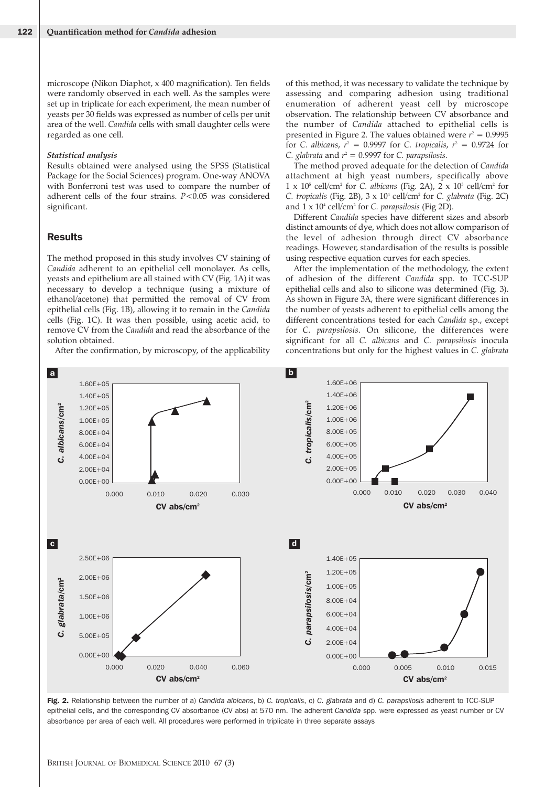microscope (Nikon Diaphot, x 400 magnification). Ten fields were randomly observed in each well. As the samples were set up in triplicate for each experiment, the mean number of yeasts per 30 fields was expressed as number of cells per unit area of the well. *Candida* cells with small daughter cells were regarded as one cell.

#### *Statistical analysis*

Results obtained were analysed using the SPSS (Statistical Package for the Social Sciences) program. One-way ANOVA with Bonferroni test was used to compare the number of adherent cells of the four strains. *P*<0.05 was considered significant.

## **Results**

The method proposed in this study involves CV staining of *Candida* adherent to an epithelial cell monolayer. As cells, yeasts and epithelium are all stained with CV (Fig. 1A) it was necessary to develop a technique (using a mixture of ethanol/acetone) that permitted the removal of CV from epithelial cells (Fig. 1B), allowing it to remain in the *Candida* cells (Fig. 1C). It was then possible, using acetic acid, to remove CV from the *Candida* and read the absorbance of the solution obtained.

After the confirmation, by microscopy, of the applicability

of this method, it was necessary to validate the technique by assessing and comparing adhesion using traditional enumeration of adherent yeast cell by microscope observation. The relationship between CV absorbance and the number of *Candida* attached to epithelial cells is presented in Figure 2. The values obtained were  $r^2 = 0.9995$ for *C. albicans*,  $r^2 = 0.9997$  for *C. tropicalis*,  $r^2 = 0.9724$  for *C. glabrata* and  $r^2 = 0.9997$  for *C. parapsilosis.* 

The method proved adequate for the detection of *Candida* attachment at high yeast numbers, specifically above  $1 \times 10^5$  cell/cm<sup>2</sup> for *C. albicans* (Fig. 2A),  $2 \times 10^5$  cell/cm<sup>2</sup> for *C. tropicalis* (Fig. 2B), 3 x 104 cell/cm2 for *C. glabrata* (Fig. 2C) and 1 x 104 cell/cm2 for *C. parapsilosis* (Fig 2D).

Different *Candida* species have different sizes and absorb distinct amounts of dye, which does not allow comparison of the level of adhesion through direct CV absorbance readings. However, standardisation of the results is possible using respective equation curves for each species.

After the implementation of the methodology, the extent of adhesion of the different *Candida* spp. to TCC-SUP epithelial cells and also to silicone was determined (Fig. 3). As shown in Figure 3A, there were significant differences in the number of yeasts adherent to epithelial cells among the different concentrations tested for each *Candida* sp., except for *C. parapsilosis*. On silicone, the differences were significant for all *C. albicans* and *C. parapsilosis* inocula concentrations but only for the highest values in *C. glabrata*



**Fig. 2.** Relationship between the number of a) *Candida albicans*, b) *C. tropicalis*, c) *C. glabrata* and d) *C. parapsilosis* adherent to TCC-SUP epithelial cells, and the corresponding CV absorbance (CV abs) at 570 nm. The adherent *Candida* spp. were expressed as yeast number or CV absorbance per area of each well. All procedures were performed in triplicate in three separate assays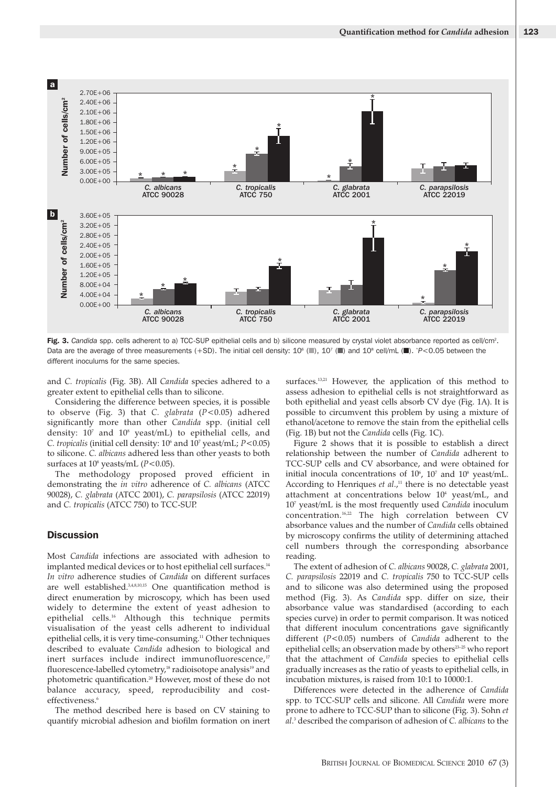

Fig. 3. Candida spp. cells adherent to a) TCC-SUP epithelial cells and b) silicone measured by crystal violet absorbance reported as cell/cm<sup>2</sup>. Data are the average of three measurements (+SD). The initial cell density: 106 (**■**), 107 (**■**) and 108 cell/mL (**■**). \* *P*<0.05 between the different inoculums for the same species.

and *C. tropicalis* (Fig. 3B). All *Candida* species adhered to a greater extent to epithelial cells than to silicone.

Considering the difference between species, it is possible to observe (Fig. 3) that *C. glabrata* (*P*<0.05) adhered significantly more than other *Candida* spp. (initial cell density:  $10^7$  and  $10^8$  yeast/mL) to epithelial cells, and *C. tropicalis* (initial cell density: 106 and 107 yeast/mL; *P*<0.05) to silicone. *C. albicans* adhered less than other yeasts to both surfaces at 10<sup>8</sup> yeasts/mL ( $P$ <0.05).

The methodology proposed proved efficient in demonstrating the *in vitro* adherence of *C. albicans* (ATCC 90028), *C. glabrata* (ATCC 2001), *C. parapsilosis* (ATCC 22019) and *C. tropicalis* (ATCC 750) to TCC-SUP.

# **Discussion**

Most *Candida* infections are associated with adhesion to implanted medical devices or to host epithelial cell surfaces.<sup>14</sup> *In vitro* adherence studies of *Candida* on different surfaces are well established.3,4,8,10,15 One quantification method is direct enumeration by microscopy, which has been used widely to determine the extent of yeast adhesion to epithelial cells.<sup>16</sup> Although this technique permits visualisation of the yeast cells adherent to individual epithelial cells, it is very time-consuming.<sup>11</sup> Other techniques described to evaluate *Candida* adhesion to biological and inert surfaces include indirect immunofluorescence,<sup>17</sup> fluorescence-labelled cytometry,<sup>18</sup> radioisotope analysis<sup>19</sup> and photometric quantification.<sup>20</sup> However, most of these do not balance accuracy, speed, reproducibility and costeffectiveness.<sup>6</sup>

The method described here is based on CV staining to quantify microbial adhesion and biofilm formation on inert surfaces.<sup>13,21</sup> However, the application of this method to assess adhesion to epithelial cells is not straightforward as both epithelial and yeast cells absorb CV dye (Fig. 1A). It is possible to circumvent this problem by using a mixture of ethanol/acetone to remove the stain from the epithelial cells (Fig. 1B) but not the *Candida* cells (Fig. 1C).

Figure 2 shows that it is possible to establish a direct relationship between the number of *Candida* adherent to TCC-SUP cells and CV absorbance, and were obtained for initial inocula concentrations of  $10^{\circ}$ ,  $10^{\circ}$  and  $10^{\circ}$  yeast/mL. According to Henriques *et al.*,<sup>11</sup> there is no detectable yeast attachment at concentrations below 10<sup>4</sup> yeast/mL, and 107 yeast/mL is the most frequently used *Candida* inoculum concentration.16,22 The high correlation between CV absorbance values and the number of *Candida* cells obtained by microscopy confirms the utility of determining attached cell numbers through the corresponding absorbance reading.

The extent of adhesion of *C. albicans* 90028, *C. glabrata* 2001, *C. parapsilosis* 22019 and *C. tropicalis* 750 to TCC-SUP cells and to silicone was also determined using the proposed method (Fig. 3). As *Candida* spp. differ on size, their absorbance value was standardised (according to each species curve) in order to permit comparison. It was noticed that different inoculum concentrations gave significantly different (*P*<0.05) numbers of *Candida* adherent to the epithelial cells; an observation made by others<sup>23-25</sup> who report that the attachment of *Candida* species to epithelial cells gradually increases as the ratio of yeasts to epithelial cells, in incubation mixtures, is raised from 10:1 to 10000:1.

Differences were detected in the adherence of *Candida* spp. to TCC-SUP cells and silicone. All *Candida* were more prone to adhere to TCC-SUP than to silicone (Fig. 3). Sohn *et al*. <sup>3</sup> described the comparison of adhesion of *C. albicans* to the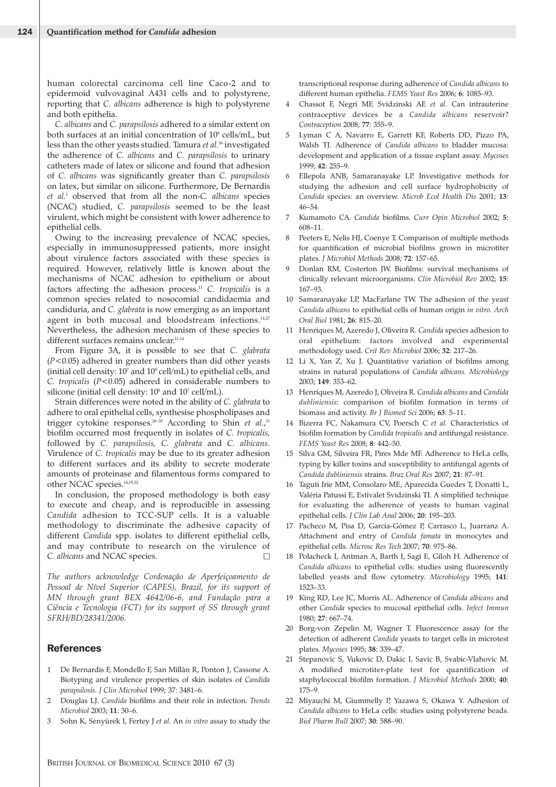human colorectal carcinoma cell line Caco-2 and to epidermoid vulvovaginal A431 cells and to polystyrene, reporting that *C. albicans* adherence is high to polystyrene and both epithelia.

*C. albicans* and *C. parapsilosis* adhered to a similar extent on both surfaces at an initial concentration of  $10^8$  cells/mL, but less than the other yeasts studied. Tamura *et al*. <sup>26</sup> investigated the adherence of *C. albicans* and *C. parapsilosis* to urinary catheters made of latex or silicone and found that adhesion of *C. albicans* was significantly greater than *C. parapsilosis* on latex, but similar on silicone. Furthermore, De Bernardis *et al*. <sup>1</sup> observed that from all the non-*C. albicans* species (NCAC) studied, *C. parapsilosis* seemed to be the least virulent, which might be consistent with lower adherence to epithelial cells.

Owing to the increasing prevalence of NCAC species, especially in immunosuppressed patients, more insight about virulence factors associated with these species is required. However, relatively little is known about the mechanisms of NCAC adhesion to epithelium or about factors affecting the adhesion process.11 *C. tropicalis* is a common species related to nosocomial candidaemia and candiduria, and *C. glabrata* is now emerging as an important agent in both mucosal and bloodstream infections.<sup>14,27</sup> Nevertheless, the adhesion mechanism of these species to different surfaces remains unclear.<sup>11,14</sup>

From Figure 3A, it is possible to see that *C. glabrata* (*P*<0.05) adhered in greater numbers than did other yeasts (initial cell density:  $10^7$  and  $10^8$  cell/mL) to epithelial cells, and *C. tropicalis* (*P*<0.05) adhered in considerable numbers to silicone (initial cell density:  $10^6$  and  $10^7$  cell/mL).

Strain differences were noted in the ability of *C. glabrata* to adhere to oral epithelial cells, synthesise phospholipases and trigger cytokine responses.<sup>28-30</sup> According to Shin *et al.*,<sup>31</sup> biofilm occurred most frequently in isolates of *C. tropicalis,* followed by *C. parapsilosis, C. glabrata* and *C. albicans.* Virulence of *C. tropicalis* may be due to its greater adhesion to different surfaces and its ability to secrete moderate amounts of proteinase and filamentous forms compared to other NCAC species.14,19,32

In conclusion, the proposed methodology is both easy to execute and cheap, and is reproducible in assessing *Candida* adhesion to TCC-SUP cells. It is a valuable methodology to discriminate the adhesive capacity of different *Candida* spp. isolates to different epithelial cells, and may contribute to research on the virulence of *C. albicans* and NCAC species. 5

*The authors acknowledge Cordenação de Aperfeiçoamento de* Pessoal de Nível Superior (CAPES), Brazil, for its support of *MN through grant BEX 4642/06-6, and Fundação para a Ciência e Tecnologia (FCT) for its support of SS through grant SFRH/BD/28341/2006.*

# **References**

- 1 De Bernardis F, Mondello F, San Millàn R, Ponton J, Cassone A. Biotyping and virulence properties of skin isolates of *Candida parapsilosis. J Clin Microbiol* 1999; 37: 3481–6.
- 2 Douglas LJ. *Candida* biofilms and their role in infection. *Trends Microbiol* 2003; **11**: 30–6.
- 3 Sohn K, Senyürek I, Fertey J *et al*. An *in vitro* assay to study the

transcriptional response during adherence of *Candida albicans* to different human epithelia. *FEMS Yeast Res* 2006; **6**: 1085–93.

- 4 Chassot F, Negri MF, Svidzinski AE *et al.* Can intrauterine contraceptive devices be a *Candida albicans* reservoir? *Contraception* 2008; **77**: 355–9.
- 5 Lyman C A, Navarro E, Garrett KF, Roberts DD, Pizzo PA, Walsh TJ. Adherence of *Candida albicans* to bladder mucosa: development and application of a tissue explant assay. *Mycoses* 1999; **42**: 255–9.
- 6 Ellepola ANB, Samaranayake LP. Investigative methods for studying the adhesion and cell surface hydrophobicity of *Candida* species: an overview. *Microb Ecol Health Dis* 2001; **13**: 46–54.
- 7 Kumamoto CA. *Candida* biofilms. *Curr Opin Microbiol* 2002; **5**: 608–11.
- 8 Peeters E, Nelis HJ, Coenye T. Comparison of multiple methods for quantification of microbial biofilms grown in microtiter plates. *J Microbiol Methods* 2008; **72**: 157–65.
- 9 Donlan RM, Costerton JW. Biofilms: survival mechanisms of clinically relevant microorganisms. *Clin Microbiol Rev* 2002; **15**: 167–93.
- 10 Samaranayake LP, MacFarlane TW. The adhesion of the yeast *Candida albicans* to epithelial cells of human origin *in vitro. Arch Oral Biol* 1981; **26**: 815–20.
- 11 Henriques M, Azeredo J, Oliveira R. *Candida* species adhesion to oral epithelium: factors involved and experimental methodology used. *Crit Rev Microbiol* 2006; **32**: 217–26.
- 12 Li X, Yan Z, Xu J. Quantitative variation of biofilms among strains in natural populations of *Candida albicans. Microbiology* 2003; **149**: 353–62.
- 13 Henriques M, Azeredo J, Oliveira R. *Candida albicans* and *Candida dubliniensis*: comparison of biofilm formation in terms of biomass and activity. *Br J Biomed Sci* 2006; **63**: 5–11.
- 14 Bizerra FC, Nakamura CV, Poersch C *et al.* Characteristics of biofilm formation by *Candida tropicalis* and antifungal resistance. *FEMS Yeast Res* 2008; **8**: 442–50.
- 15 Silva GM, Silveira FR, Pires Mde MF. Adherence to HeLa cells, typing by killer toxins and susceptibility to antifungal agents of *Candida dubliniensis* strains. *Braz Oral Res* 2007; **21**: 87–91.
- 16 Taguti Irie MM, Consolaro ME, Aparecida Guedes T, Donatti L, Valéria Patussi E, Estivalet Svidzinski TI. A simplified technique for evaluating the adherence of yeasts to human vaginal epithelial cells. *J Clin Lab Anal* 2006; **20**: 195–203.
- 17 Pacheco M, Pisa D, García-Gómez P, Carrasco L, Juarranz A. Attachment and entry of *Candida famata* in monocytes and epithelial cells. *Microsc Res Tech* 2007; **70**: 975–86.
- 18 Polacheck I, Antman A, Barth I, Sagi E, Giloh H. Adherence of *Candida albicans* to epithelial cells: studies using fluorescently labelled yeasts and flow cytometry. *Microbiology* 1995; **141**: 1523–33.
- 19 King RD, Lee JC, Morris AL. Adherence of *Candida albicans* and other *Candida* species to mucosal epithelial cells. *Infect Immun* 1980; **27**: 667–74.
- 20 Borg-von Zepelin M, Wagner T. Fluorescence assay for the detection of adherent *Candida* yeasts to target cells in microtest plates. *Mycoses* 1995; **38**: 339–47.
- 21 Stepanovic S, Vukovic D, Dakic I, Savic B, Svabic-Vlahovic M. A modified microtiter-plate test for quantification of staphylococcal biofilm formation. *J Microbiol Methods* 2000; **40**: 175–9.
- 22 Miyauchi M, Giummelly P, Yazawa S, Okawa Y. Adhesion of *Candida albicans* to HeLa cells: studies using polystyrene beads. *Biol Pharm Bull* 2007; **30**: 588–90.